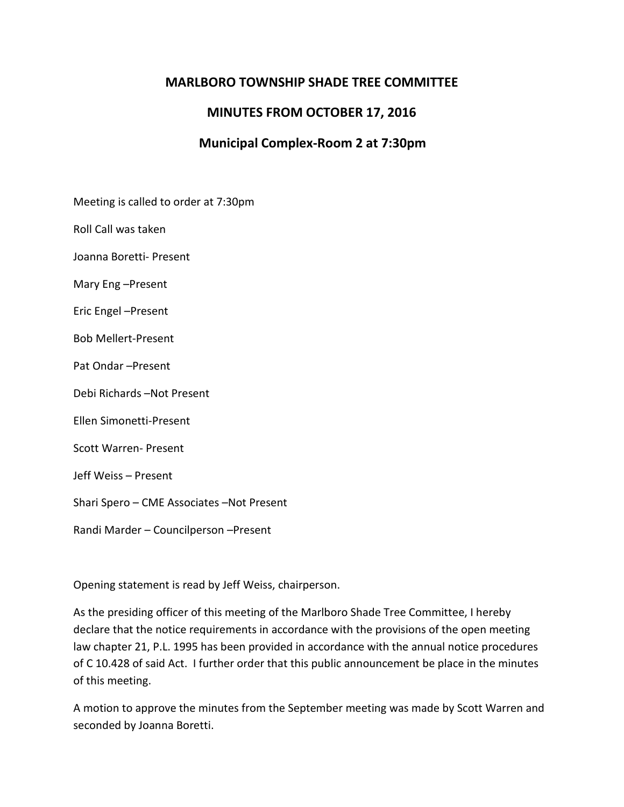## **MARLBORO TOWNSHIP SHADE TREE COMMITTEE**

## **MINUTES FROM OCTOBER 17, 2016**

## **Municipal Complex-Room 2 at 7:30pm**

Meeting is called to order at 7:30pm

Roll Call was taken

Joanna Boretti- Present

Mary Eng –Present

Eric Engel –Present

Bob Mellert-Present

Pat Ondar –Present

Debi Richards –Not Present

Ellen Simonetti-Present

Scott Warren- Present

Jeff Weiss – Present

Shari Spero – CME Associates –Not Present

Randi Marder – Councilperson –Present

Opening statement is read by Jeff Weiss, chairperson.

As the presiding officer of this meeting of the Marlboro Shade Tree Committee, I hereby declare that the notice requirements in accordance with the provisions of the open meeting law chapter 21, P.L. 1995 has been provided in accordance with the annual notice procedures of C 10.428 of said Act. I further order that this public announcement be place in the minutes of this meeting.

A motion to approve the minutes from the September meeting was made by Scott Warren and seconded by Joanna Boretti.